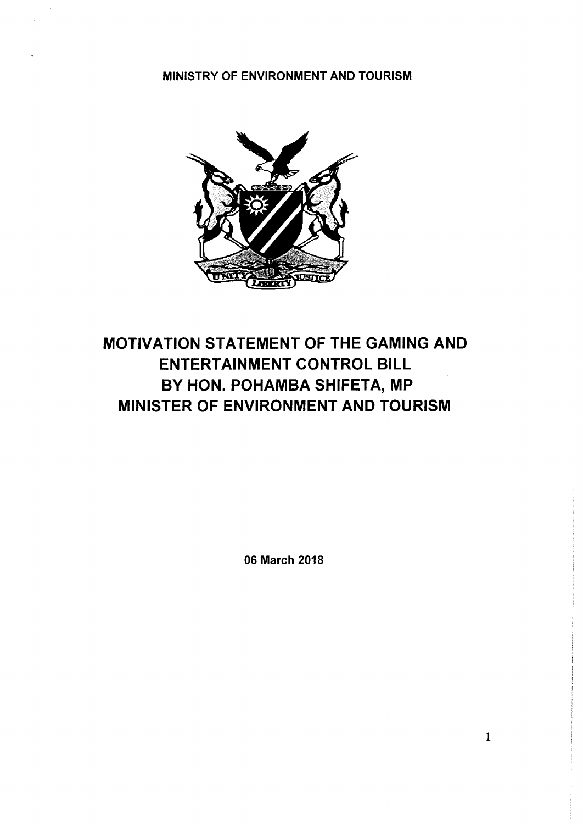MINISTRY OF ENVIRONMENT AND TOURISM



# MOTIVATION STATEMENT OF THE GAMING AND ENTERTAINMENT CONTROL BILL BY HON. POHAMBA SHIFETA, MP MINISTER OF ENVIRONMENT AND TOURISM

06 March 2018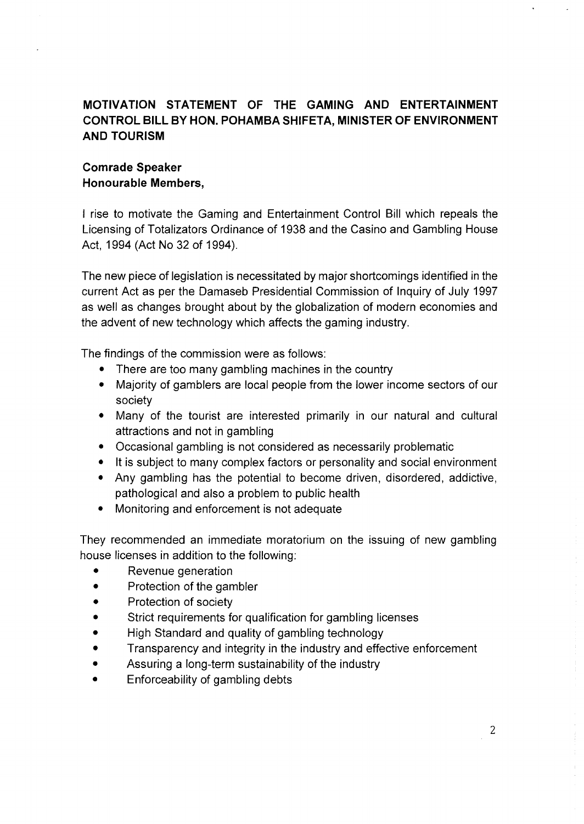## **MOTIVATION STATEMENT OF THE GAMING AND ENTERTAINMENT CONTROL BILL BY HON. POHAMBA SHIFETA, MINISTER OF ENVIRONMENT AND TOURISM**

## **Comrade Speaker Honourable Members,**

I rise to motivate the Gaming and Entertainment Control Bill which repeals the Licensing of Totalizators Ordinance of 1938 and the Casino and Gambling House Act, 1994 (Act No 32 of 1994).

The new piece of legislation is necessitated by major shortcomings identified in the current Act as per the Damaseb Presidential Commission of Inquiry of July 1997 as well as changes brought about by the globalization of modern economies and the advent of new technology which affects the gaming industry.

The findings of the commission were as follows:

- There are too many gambling machines in the country
- Majority of gamblers are local people from the lower income sectors of our society
- Many of the tourist are interested primarily in our natural and cultural attractions and not in gambling
- Occasional gambling is not considered as necessarily problematic
- It is subject to many complex factors or personality and social environment
- Any gambling has the potential to become driven, disordered, addictive, pathological and also a problem to public health
- Monitoring and enforcement is not adequate

They recommended an immediate moratorium on the issuing of new gambling house licenses in addition to the following:

- Revenue generation
- Protection of the gambler
- Protection of society
- Strict requirements for qualification for gambling licenses
- High Standard and quality of gambling technology
- Transparency and integrity in the industry and effective enforcement
- Assuring a long-term sustainability of the industry
- Enforceability of gambling debts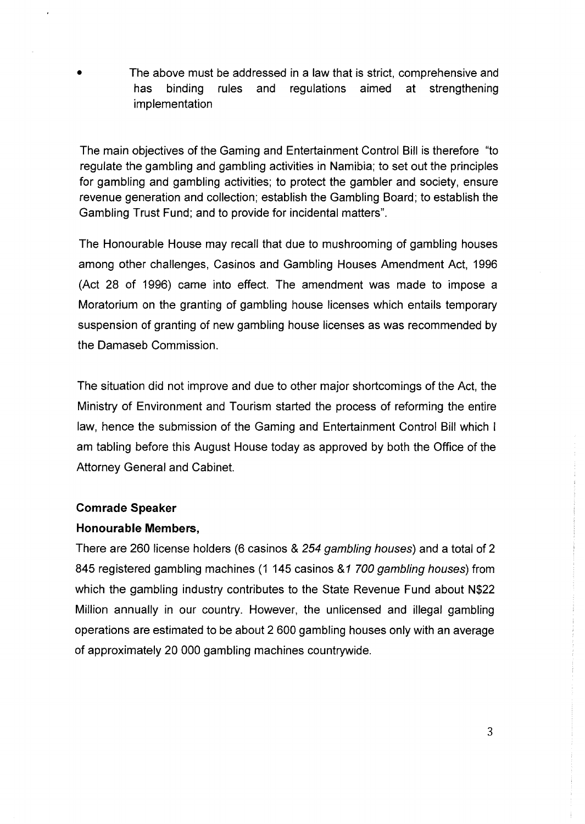• The above must be addressed in a law that is strict, comprehensive and has binding rules and regulations aimed at strengthening implementation

The main objectives of the Gaming and Entertainment Control Bill is therefore "to regulate the gambling and gambling activities in Namibia; to set out the principles for gambling and gambling activities; to protect the gambler and society, ensure revenue generation and collection; establish the Gambling Board; to establish the Gambling Trust Fund; and to provide for incidental matters".

The Honourable House may recall that due to mushrooming of gambling houses among other challenges, Casinos and Gambling Houses Amendment Act, 1996 (Act 28 of 1996) came into effect. The amendment was made to impose a Moratorium on the granting of gambling house licenses which entails temporary suspension of granting of new gambling house licenses as was recommended by the Damaseb Commission.

The situation did not improve and due to other major shortcomings of the Act, the Ministry of Environment and Tourism started the process of reforming the entire law, hence the submission of the Gaming and Entertainment Control Bill which I am tabling before this August House today as approved by both the Office of the Attorney General and Cabinet.

#### **Comrade Speaker**

#### **Honourable Members,**

There are 260 license holders (6 casinos & 254 *gambling houses)* and a total of 2 845 registered gambling machines (1 145 casinos &1 *700 gambling houses)* from which the gambling industry contributes to the State Revenue Fund about N\$22 Million annually in our country. However, the unlicensed and illegal gambling operations are estimated to be about 2 600 gambling houses only with an average of approximately 20 000 gambling machines countrywide.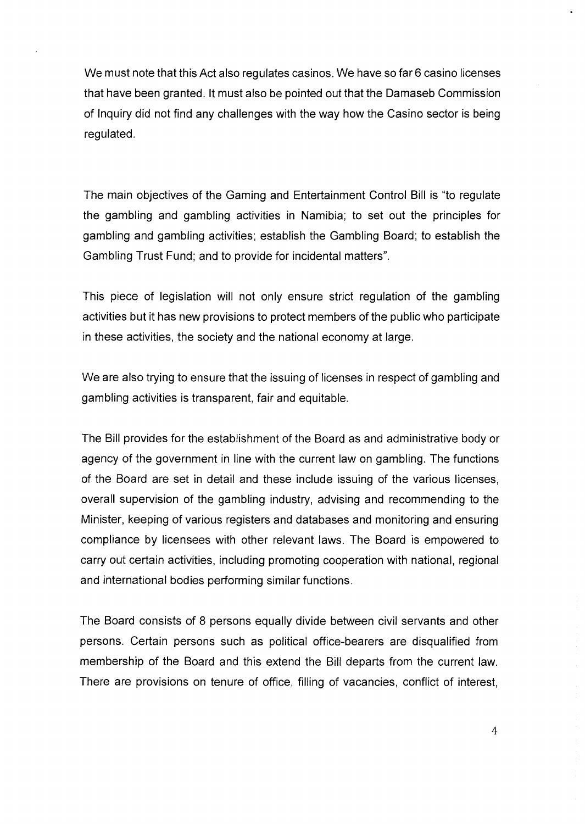We must note that this Act also regulates casinos. We have so far 6 casino licenses that have been granted. It must also be pointed out that the Damaseb Commission of Inquiry did not find any challenges with the way how the Casino sector is being regulated.

The main objectives of the Gaming and Entertainment Control Bill is "to regulate the gambling and gambling activities in Namibia; to set out the principles for gambling and gambling activities; establish the Gambling Board; to establish the Gambling Trust Fund; and to provide for incidental matters".

This piece of legislation will not only ensure strict regulation of the gambling activities but it has new provisions to protect members of the public who participate in these activities, the society and the national economy at large.

We are also trying to ensure that the issuing of licenses in respect of gambling and gambling activities is transparent, fair and equitable.

The Bill provides for the establishment of the Board as and administrative body or agency of the government in line with the current law on gambling. The functions of the Board are set in detail and these include issuing of the various licenses, overall supervision of the gambling industry, advising and recommending to the Minister, keeping of various registers and databases and monitoring and ensuring compliance by licensees with other relevant laws. The Board is empowered to carry out certain activities, including promoting cooperation with national, regional and international bodies performing similar functions.

The Board consists of 8 persons equally divide between civil servants and other persons. Certain persons such as political office-bearers are disqualified from membership of the Board and this extend the Bill departs from the current law. There are provisions on tenure of office, filling of vacancies, conflict of interest,

4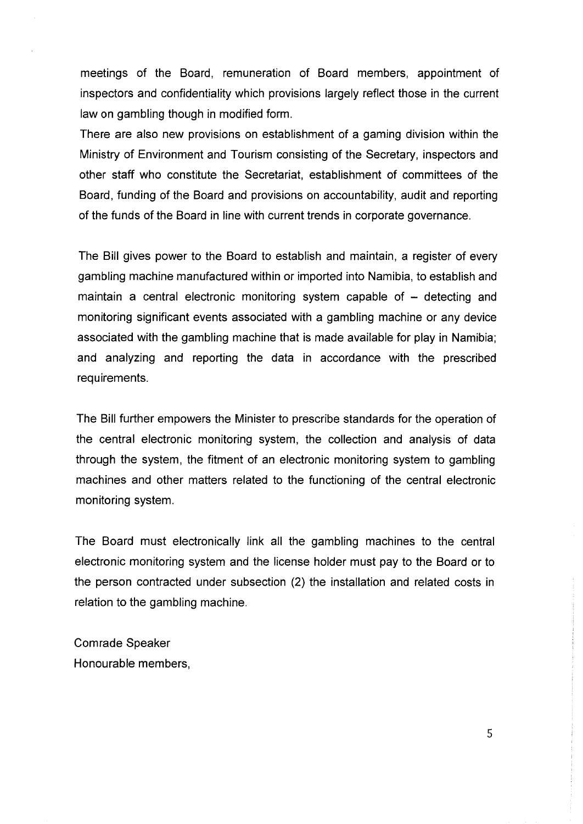meetings of the Board, remuneration of Board members, appointment of inspectors and confidentiality which provisions largely reflect those in the current law on gambling though in modified form.

There are also new provisions on establishment of a gaming division within the Ministry of Environment and Tourism consisting of the Secretary, inspectors and other staff who constitute the Secretariat, establishment of committees of the Board, funding of the Board and provisions on accountability, audit and reporting of the funds of the Board in line with current trends in corporate governance.

The Bill gives power to the Board to establish and maintain, a register of every gambling machine manufactured within or imported into Namibia, to establish and maintain a central electronic monitoring system capable of  $-$  detecting and monitoring significant events associated with a gambling machine or any device associated with the gambling machine that is made available for play in Namibia; and analyzing and reporting the data in accordance with the prescribed requirements.

The Bill further empowers the Minister to prescribe standards for the operation of the central electronic monitoring system, the collection and analysis of data through the system, the fitment of an electronic monitoring system to gambling machines and other matters related to the functioning of the central electronic monitoring system.

The Board must electronically link all the gambling machines to the central electronic monitoring system and the license holder must pay to the Board or to the person contracted under subsection (2) the installation and related costs in relation to the gambling machine.

Comrade Speaker Honourable members,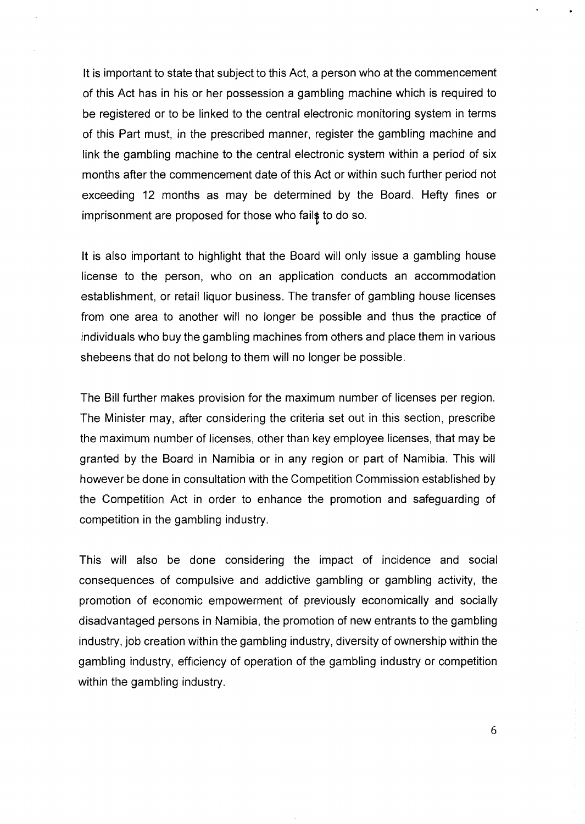It is important to state that subject to this Act, a person who at the commencement of this Act has in his or her possession a gambling machine which is required to be registered or to be linked to the central electronic monitoring system in terms of this Part must, in the prescribed manner, register the gambling machine and link the gambling machine to the central electronic system within a period of six months after the commencement date of this Act or within such further period not exceeding 12 months as may be determined by the Board. Hefty fines or imprisonment are proposed for those who fails to do so.

It is also important to highlight that the Board will only issue a gambling house license to the person, who on an application conducts an accommodation establishment, or retail liquor business. The transfer of gambling house licenses from one area to another will no longer be possible and thus the practice of individuals who buy the gambling machines from others and place them in various shebeens that do not belong to them will no longer be possible.

The Bill further makes provision for the maximum number of licenses per region. The Minister may, after considering the criteria set out in this section, prescribe the maximum number of licenses, other than key employee licenses, that may be granted by the Board in Namibia or in any region or part of Namibia. This will however be done in consultation with the Competition Commission established by the Competition Act in order to enhance the promotion and safeguarding of competition in the gambling industry.

This will also be done considering the impact of incidence and social consequences of compulsive and addictive gambling or gambling activity, the promotion of economic empowerment of previously economically and socially disadvantaged persons in Namibia, the promotion of new entrants to the gambling industry, job creation within the gambling industry, diversity of ownership within the gambling industry, efficiency of operation of the gambling industry or competition within the gambling industry.

6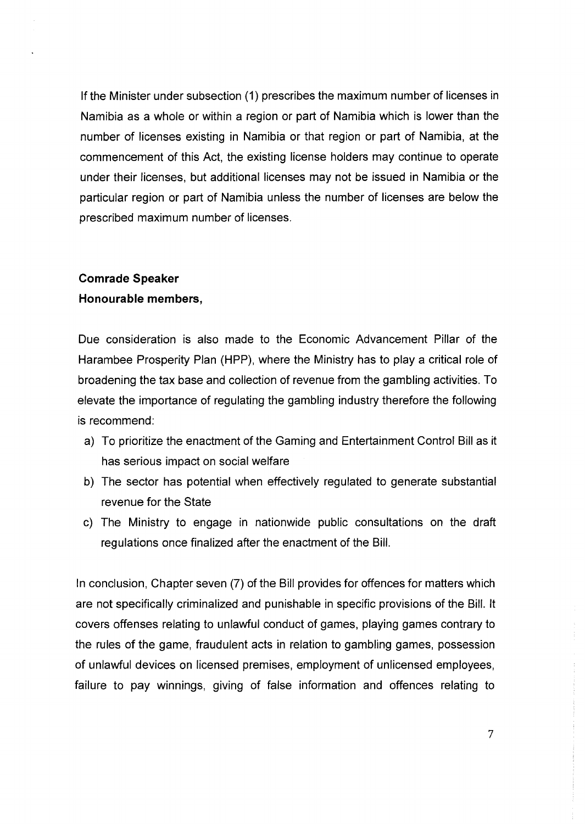If the Minister under subsection (1) prescribes the maximum number of licenses in Namibia as a whole or within a region or part of Namibia which is lower than the number of licenses existing in Namibia or that region or part of Namibia, at the commencement of this Act, the existing license holders may continue to operate under their licenses, but additional licenses may not be issued in Namibia or the particular region or part of Namibia unless the number of licenses are below the prescribed maximum number of licenses.

### **Comrade Speaker**

#### **Honourable members,**

Due consideration is also made to the Economic Advancement Pillar of the Harambee Prosperity Plan (HPP), where the Ministry has to play a critical role of broadening the tax base and collection of revenue from the gambling activities. To elevate the importance of regulating the gambling industry therefore the following is recommend:

- a) To prioritize the enactment of the Gaming and Entertainment Control Bill as it has serious impact on social welfare
- b) The sector has potential when effectively regulated to generate substantial revenue for the State
- c) The Ministry to engage in nationwide public consultations on the draft regulations once finalized after the enactment of the Bill.

In conclusion, Chapter seven (7) of the Bill provides for offences for matters which are not specifically criminalized and punishable in specific provisions of the Bill. It covers offenses relating to unlawful conduct of games, playing games contrary to the rules of the game, fraudulent acts in relation to gambling games, possession of unlawful devices on licensed premises, employment of unlicensed employees, failure to pay winnings, giving of false information and offences relating to